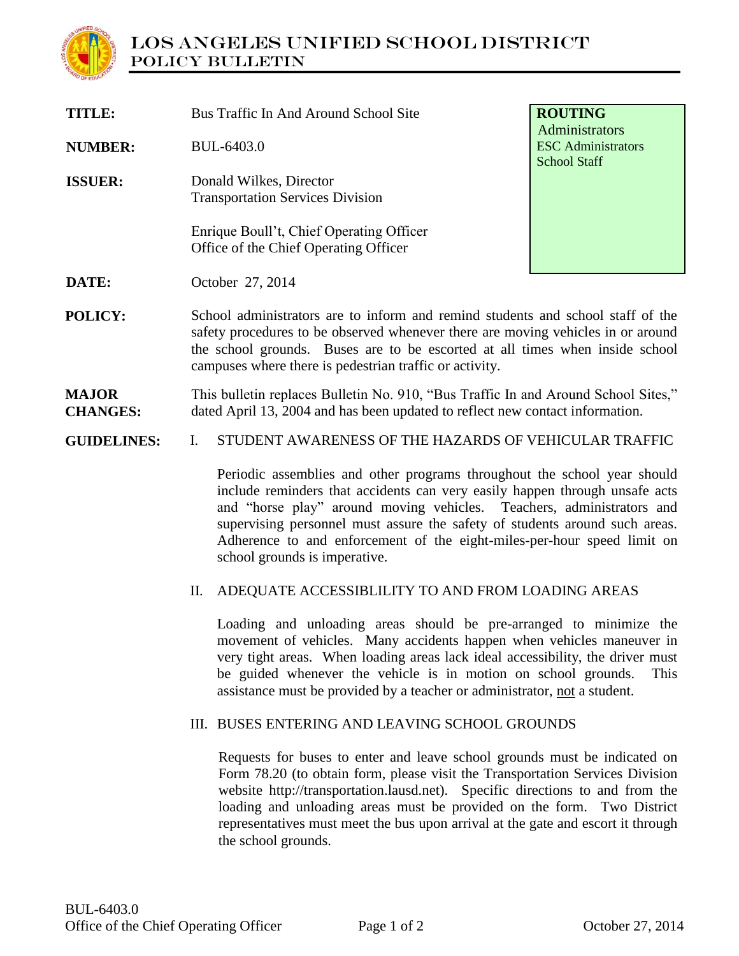

| TITLE:                          | Bus Traffic In And Around School Site                                                                                                                                                                                                                                                                          | <b>ROUTING</b>                                                     |
|---------------------------------|----------------------------------------------------------------------------------------------------------------------------------------------------------------------------------------------------------------------------------------------------------------------------------------------------------------|--------------------------------------------------------------------|
| <b>NUMBER:</b>                  | BUL-6403.0                                                                                                                                                                                                                                                                                                     | Administrators<br><b>ESC</b> Administrators<br><b>School Staff</b> |
| <b>ISSUER:</b>                  | Donald Wilkes, Director<br><b>Transportation Services Division</b>                                                                                                                                                                                                                                             |                                                                    |
|                                 | Enrique Boull't, Chief Operating Officer<br>Office of the Chief Operating Officer                                                                                                                                                                                                                              |                                                                    |
| DATE:                           | October 27, 2014                                                                                                                                                                                                                                                                                               |                                                                    |
| POLICY:                         | School administrators are to inform and remind students and school staff of the<br>safety procedures to be observed whenever there are moving vehicles in or around<br>the school grounds. Buses are to be escorted at all times when inside school<br>campuses where there is pedestrian traffic or activity. |                                                                    |
| <b>MAJOR</b><br><b>CHANGES:</b> | This bulletin replaces Bulletin No. 910, "Bus Traffic In and Around School Sites,"<br>dated April 13, 2004 and has been updated to reflect new contact information.                                                                                                                                            |                                                                    |
| <b>GUIDELINES:</b>              | STUDENT AWARENESS OF THE HAZARDS OF VEHICULAR TRAFFIC<br>I.                                                                                                                                                                                                                                                    |                                                                    |
|                                 | Periodic assemblies and other programs throughout the school year should<br>include reminders that accidents can very easily happen through unsafe acts<br>and "horse play" around moving vehicles. Teachers, administrators and                                                                               |                                                                    |

and "horse play" around moving vehicles. Teachers, administrators and supervising personnel must assure the safety of students around such areas. Adherence to and enforcement of the eight-miles-per-hour speed limit on school grounds is imperative.

## II. ADEQUATE ACCESSIBLILITY TO AND FROM LOADING AREAS

Loading and unloading areas should be pre-arranged to minimize the movement of vehicles. Many accidents happen when vehicles maneuver in very tight areas. When loading areas lack ideal accessibility, the driver must be guided whenever the vehicle is in motion on school grounds. This assistance must be provided by a teacher or administrator, not a student.

## III. BUSES ENTERING AND LEAVING SCHOOL GROUNDS

Requests for buses to enter and leave school grounds must be indicated on Form 78.20 (to obtain form, please visit the Transportation Services Division website http://transportation.lausd.net). Specific directions to and from the loading and unloading areas must be provided on the form. Two District representatives must meet the bus upon arrival at the gate and escort it through the school grounds.